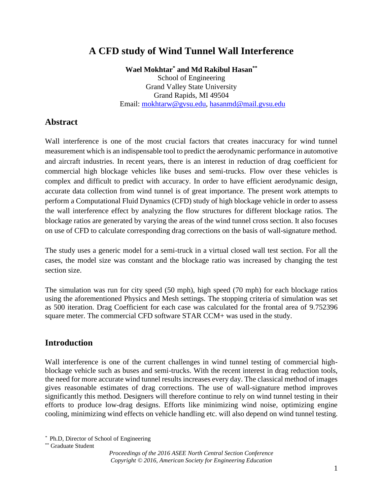# **A CFD study of Wind Tunnel Wall Interference**

**Wael Mokhtar\* and Md Rakibul Hasan\*\***

School of Engineering Grand Valley State University Grand Rapids, MI 49504 Email: [mokhtarw@gvsu.edu,](mailto:mokhtarw@gvsu.edu) hasanmd@mail.gvsu.edu

#### **Abstract**

Wall interference is one of the most crucial factors that creates inaccuracy for wind tunnel measurement which is an indispensable tool to predict the aerodynamic performance in automotive and aircraft industries. In recent years, there is an interest in reduction of drag coefficient for commercial high blockage vehicles like buses and semi-trucks. Flow over these vehicles is complex and difficult to predict with accuracy. In order to have efficient aerodynamic design, accurate data collection from wind tunnel is of great importance. The present work attempts to perform a Computational Fluid Dynamics (CFD) study of high blockage vehicle in order to assess the wall interference effect by analyzing the flow structures for different blockage ratios. The blockage ratios are generated by varying the areas of the wind tunnel cross section. It also focuses on use of CFD to calculate corresponding drag corrections on the basis of wall-signature method.

The study uses a generic model for a semi-truck in a virtual closed wall test section. For all the cases, the model size was constant and the blockage ratio was increased by changing the test section size.

The simulation was run for city speed (50 mph), high speed (70 mph) for each blockage ratios using the aforementioned Physics and Mesh settings. The stopping criteria of simulation was set as 500 iteration. Drag Coefficient for each case was calculated for the frontal area of 9.752396 square meter. The commercial CFD software STAR CCM+ was used in the study.

#### **Introduction**

Wall interference is one of the current challenges in wind tunnel testing of commercial highblockage vehicle such as buses and semi-trucks. With the recent interest in drag reduction tools, the need for more accurate wind tunnel results increases every day. The classical method of images gives reasonable estimates of drag corrections. The use of wall-signature method improves significantly this method. Designers will therefore continue to rely on wind tunnel testing in their efforts to produce low-drag designs. Efforts like minimizing wind noise, optimizing engine cooling, minimizing wind effects on vehicle handling etc. will also depend on wind tunnel testing.

*<sup>\*</sup>* Ph.D, Director of School of Engineering

<sup>\*\*</sup> Graduate Student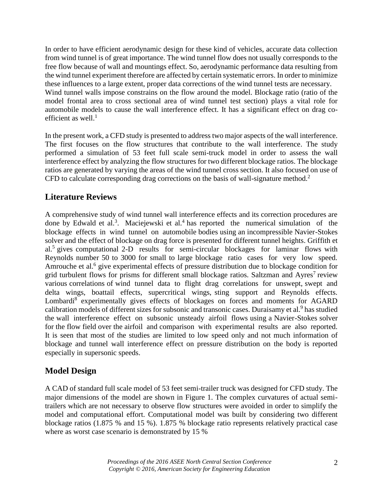In order to have efficient aerodynamic design for these kind of vehicles, accurate data collection from wind tunnel is of great importance. The wind tunnel flow does not usually corresponds to the free flow because of wall and mountings effect. So, aerodynamic performance data resulting from the wind tunnel experiment therefore are affected by certain systematic errors. In order to minimize these influences to a large extent, proper data corrections of the wind tunnel tests are necessary. Wind tunnel walls impose constrains on the flow around the model. Blockage ratio (ratio of the model frontal area to cross sectional area of wind tunnel test section) plays a vital role for automobile models to cause the wall interference effect. It has a significant effect on drag coefficient as well.<sup>1</sup>

In the present work, a CFD study is presented to address two major aspects of the wall interference. The first focuses on the flow structures that contribute to the wall interference. The study performed a simulation of 53 feet full scale semi-truck model in order to assess the wall interference effect by analyzing the flow structures for two different blockage ratios. The blockage ratios are generated by varying the areas of the wind tunnel cross section. It also focused on use of CFD to calculate corresponding drag corrections on the basis of wall-signature method.<sup>2</sup>

### **Literature Reviews**

A comprehensive study of wind tunnel wall interference effects and its correction procedures are done by Edwald et al.<sup>3</sup>. Maciejewski et al.<sup>4</sup> has reported the numerical simulation of the blockage effects in wind tunnel on automobile bodies using an incompressible Navier-Stokes solver and the effect of blockage on drag force is presented for different tunnel heights. Griffith et al.<sup>5</sup> gives computational 2-D results for semi-circular blockages for laminar flows with Reynolds number 50 to 3000 for small to large blockage ratio cases for very low speed. Amrouche et al.<sup>6</sup> give experimental effects of pressure distribution due to blockage condition for grid turbulent flows for prisms for different small blockage ratios. Saltzman and Ayres<sup>7</sup> review various correlations of wind tunnel data to flight drag correlations for unswept, swept and delta wings, boattail effects, supercritical wings, sting support and Reynolds effects. Lombardi<sup>8</sup> experimentally gives effects of blockages on forces and moments for AGARD calibration models of different sizes for subsonic and transonic cases. Duraisamy et al.<sup>9</sup> has studied the wall interference effect on subsonic unsteady airfoil flows using a Navier-Stokes solver for the flow field over the airfoil and comparison with experimental results are also reported. It is seen that most of the studies are limited to low speed only and not much information of blockage and tunnel wall interference effect on pressure distribution on the body is reported especially in supersonic speeds.

## **Model Design**

A CAD of standard full scale model of 53 feet semi-trailer truck was designed for CFD study. The major dimensions of the model are shown in Figure 1. The complex curvatures of actual semitrailers which are not necessary to observe flow structures were avoided in order to simplify the model and computational effort. Computational model was built by considering two different blockage ratios (1.875 % and 15 %). 1.875 % blockage ratio represents relatively practical case where as worst case scenario is demonstrated by 15 %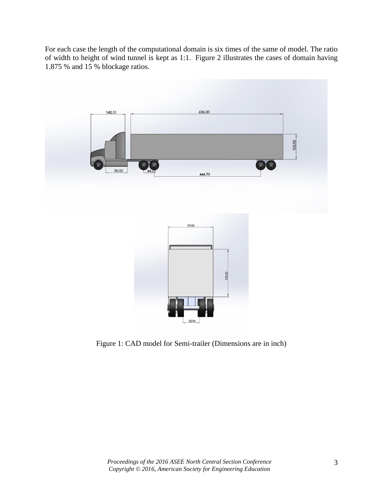For each case the length of the computational domain is six times of the same of model. The ratio of width to height of wind tunnel is kept as 1:1. Figure 2 illustrates the cases of domain having 1.875 % and 15 % blockage ratios.



Figure 1: CAD model for Semi-trailer (Dimensions are in inch)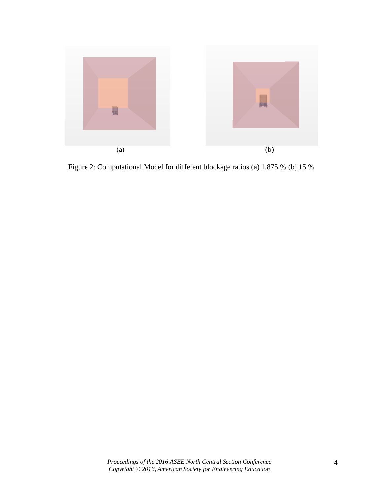

Figure 2: Computational Model for different blockage ratios (a) 1.875 % (b) 15 %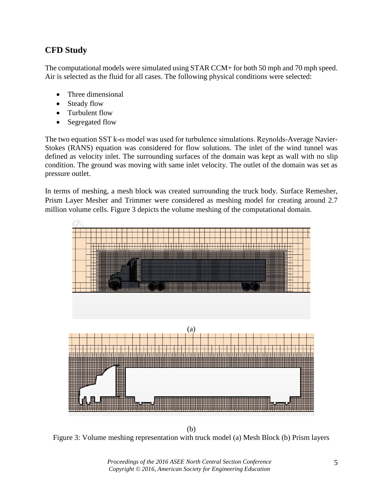# **CFD Study**

The computational models were simulated using STAR CCM+ for both 50 mph and 70 mph speed. Air is selected as the fluid for all cases. The following physical conditions were selected:

- Three dimensional
- Steady flow
- Turbulent flow
- Segregated flow

The two equation SST k-ω model was used for turbulence simulations. Reynolds-Average Navier-Stokes (RANS) equation was considered for flow solutions. The inlet of the wind tunnel was defined as velocity inlet. The surrounding surfaces of the domain was kept as wall with no slip condition. The ground was moving with same inlet velocity. The outlet of the domain was set as pressure outlet.

In terms of meshing, a mesh block was created surrounding the truck body. Surface Remesher, Prism Layer Mesher and Trimmer were considered as meshing model for creating around 2.7 million volume cells. Figure 3 depicts the volume meshing of the computational domain.



(b) Figure 3: Volume meshing representation with truck model (a) Mesh Block (b) Prism layers

*Proceedings of the 2016 ASEE North Central Section Conference Copyright © 2016, American Society for Engineering Education*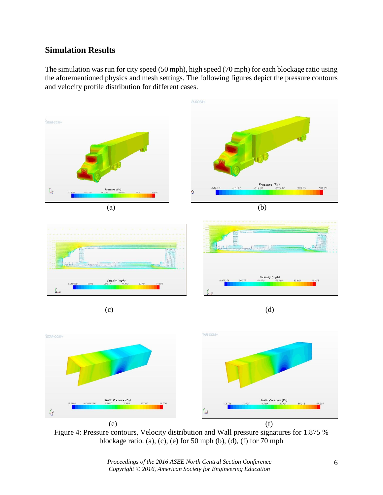## **Simulation Results**

The simulation was run for city speed (50 mph), high speed (70 mph) for each blockage ratio using the aforementioned physics and mesh settings. The following figures depict the pressure contours and velocity profile distribution for different cases.



Figure 4: Pressure contours, Velocity distribution and Wall pressure signatures for 1.875 % blockage ratio. (a), (c), (e) for 50 mph (b), (d), (f) for 70 mph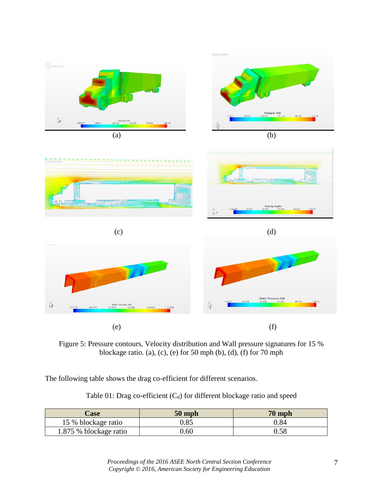

Figure 5: Pressure contours, Velocity distribution and Wall pressure signatures for 15 % blockage ratio. (a), (c), (e) for 50 mph (b), (d), (f) for 70 mph

The following table shows the drag co-efficient for different scenarios.

Table 01: Drag co-efficient  $(C_d)$  for different blockage ratio and speed

| Case                   | $50$ mph | $70$ mph |
|------------------------|----------|----------|
| 15 % blockage ratio    | 0.85     | J.84     |
| 1.875 % blockage ratio | $0.60\,$ | 0.58     |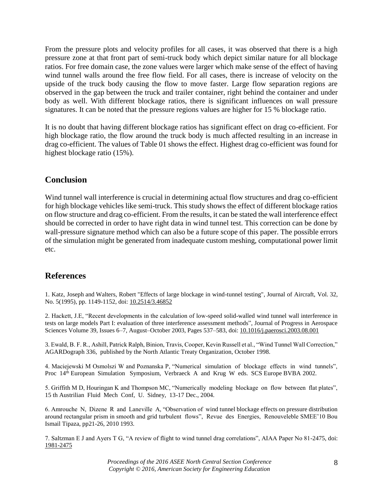From the pressure plots and velocity profiles for all cases, it was observed that there is a high pressure zone at that front part of semi-truck body which depict similar nature for all blockage ratios. For free domain case, the zone values were larger which make sense of the effect of having wind tunnel walls around the free flow field. For all cases, there is increase of velocity on the upside of the truck body causing the flow to move faster. Large flow separation regions are observed in the gap between the truck and trailer container, right behind the container and under body as well. With different blockage ratios, there is significant influences on wall pressure signatures. It can be noted that the pressure regions values are higher for 15 % blockage ratio.

It is no doubt that having different blockage ratios has significant effect on drag co-efficient. For high blockage ratio, the flow around the truck body is much affected resulting in an increase in drag co-efficient. The values of Table 01 shows the effect. Highest drag co-efficient was found for highest blockage ratio (15%).

#### **Conclusion**

Wind tunnel wall interference is crucial in determining actual flow structures and drag co-efficient for high blockage vehicles like semi-truck. This study shows the effect of different blockage ratios on flow structure and drag co-efficient. From the results, it can be stated the wall interference effect should be corrected in order to have right data in wind tunnel test. This correction can be done by wall-pressure signature method which can also be a future scope of this paper. The possible errors of the simulation might be generated from inadequate custom meshing, computational power limit etc.

### **References**

1. Katz, Joseph and Walters, Robert "Effects of large blockage in wind-tunnel testing", Journal of Aircraft, Vol. 32, No. 5(1995), pp. 1149-1152, doi: 10.2514/3.46852

2. Hackett, J.E, "Recent developments in the calculation of low-speed solid-walled wind tunnel wall interference in tests on large models Part I: evaluation of three interference assessment methods", Journal of Progress in Aerospace Sciences [Volume 39, Issues 6–7,](http://www.sciencedirect.com/science/journal/03760421/39/6) August–October 2003, Pages 537–583, doi[: 10.1016/j.paerosci.2003.08.001](http://dx.doi.org/10.1016/j.paerosci.2003.08.001)

3. Ewald, B. F. R., Ashill, Patrick Ralph, Binion, Travis, Cooper, Kevin Russell et al., "Wind Tunnel Wall Correction," AGARDograph 336, published by the North Atlantic Treaty Organization, October 1998.

4. Maciejewski M Osmolszi W and Poznanska P, "Numerical simulation of blockage effects in wind tunnels", Proc 14th European Simulation Symposium, Verbraeck A and Krug W eds. SCS Europe BVBA 2002.

5. Griffith M D, Houringan K and Thompson MC, "Numerically modeling blockage on flow between flat plates", 15 th Austrilian Fluid Mech Conf, U. Sidney, 13-17 Dec., 2004.

6. Amrouche N, Dizene R and Laneville A, "Observation of wind tunnel blockage effects on pressure distribution around rectangular prism in smooth and grid turbulent flows", Revue des Energies, Renouveleble SMEE'10 Bou Ismail Tipaza, pp21-26, 2010 1993.

7. Saltzman E J and Ayers T G, "A review of flight to wind tunnel drag correlations", AIAA Paper No 81-2475, doi: 1981-2475

> *Proceedings of the 2016 ASEE North Central Section Conference Copyright © 2016, American Society for Engineering Education*